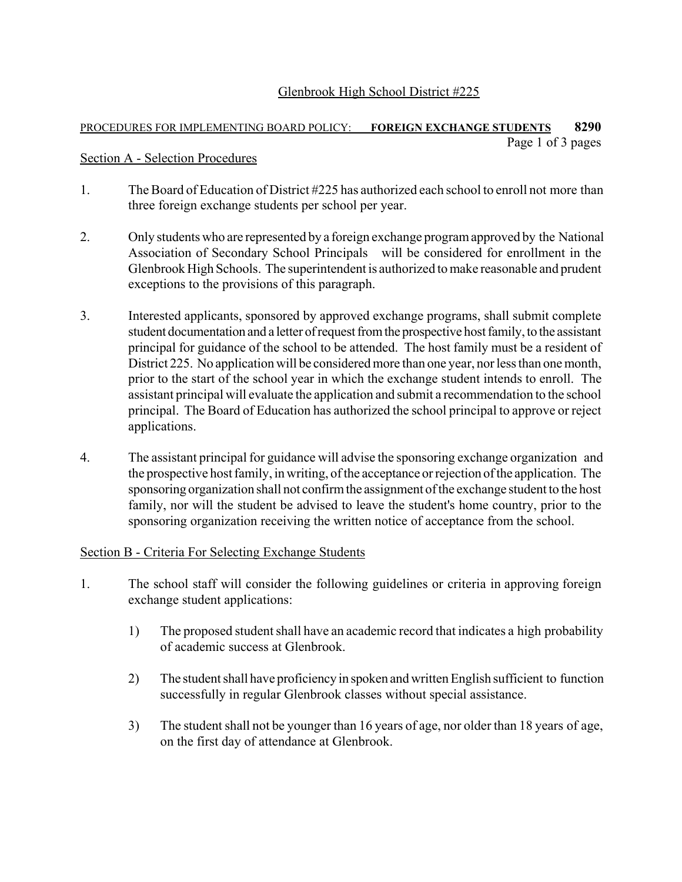# Glenbrook High School District #225

#### PROCEDURES FOR IMPLEMENTING BOARD POLICY: **FOREIGN EXCHANGE STUDENTS 8290** Page 1 of 3 pages

#### Section A - Selection Procedures

- 1. The Board of Education of District #225 has authorized each school to enroll not more than three foreign exchange students per school per year.
- 2. Only students who are represented by a foreign exchange program approved by the National Association of Secondary School Principals will be considered for enrollment in the Glenbrook High Schools. The superintendent is authorized to make reasonable and prudent exceptions to the provisions of this paragraph.
- 3. Interested applicants, sponsored by approved exchange programs, shall submit complete student documentation and a letter of request from the prospective host family, to the assistant principal for guidance of the school to be attended. The host family must be a resident of District 225. No application will be considered more than one year, nor less than one month, prior to the start of the school year in which the exchange student intends to enroll. The assistant principal will evaluate the application and submit a recommendation to the school principal. The Board of Education has authorized the school principal to approve or reject applications.
- 4. The assistant principal for guidance will advise the sponsoring exchange organization and the prospective host family, in writing, of the acceptance or rejection of the application. The sponsoring organization shall not confirm the assignment of the exchange student to the host family, nor will the student be advised to leave the student's home country, prior to the sponsoring organization receiving the written notice of acceptance from the school.

## Section B - Criteria For Selecting Exchange Students

- 1. The school staff will consider the following guidelines or criteria in approving foreign exchange student applications:
	- 1) The proposed student shall have an academic record that indicates a high probability of academic success at Glenbrook.
	- 2) The student shall have proficiency in spoken and written English sufficient to function successfully in regular Glenbrook classes without special assistance.
	- 3) The student shall not be younger than 16 years of age, nor older than 18 years of age, on the first day of attendance at Glenbrook.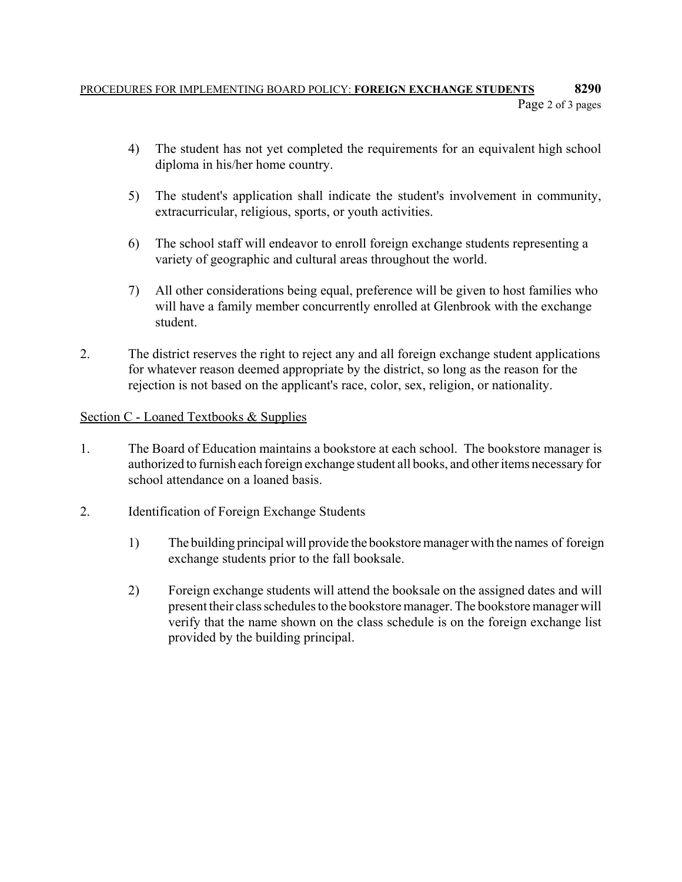# PROCEDURES FOR IMPLEMENTING BOARD POLICY: **FOREIGN EXCHANGE STUDENTS 8290** Page 2 of 3 pages

- 4) The student has not yet completed the requirements for an equivalent high school diploma in his/her home country.
- 5) The student's application shall indicate the student's involvement in community, extracurricular, religious, sports, or youth activities.
- 6) The school staff will endeavor to enroll foreign exchange students representing a variety of geographic and cultural areas throughout the world.
- 7) All other considerations being equal, preference will be given to host families who will have a family member concurrently enrolled at Glenbrook with the exchange student.
- 2. The district reserves the right to reject any and all foreign exchange student applications for whatever reason deemed appropriate by the district, so long as the reason for the rejection is not based on the applicant's race, color, sex, religion, or nationality.

# Section C - Loaned Textbooks & Supplies

- 1. The Board of Education maintains a bookstore at each school. The bookstore manager is authorized to furnish each foreign exchange student all books, and other items necessary for school attendance on a loaned basis.
- 2. Identification of Foreign Exchange Students
	- 1) The building principal will provide the bookstore manager with the names of foreign exchange students prior to the fall booksale.
	- 2) Foreign exchange students will attend the booksale on the assigned dates and will present their class schedules to the bookstore manager. The bookstore manager will verify that the name shown on the class schedule is on the foreign exchange list provided by the building principal.